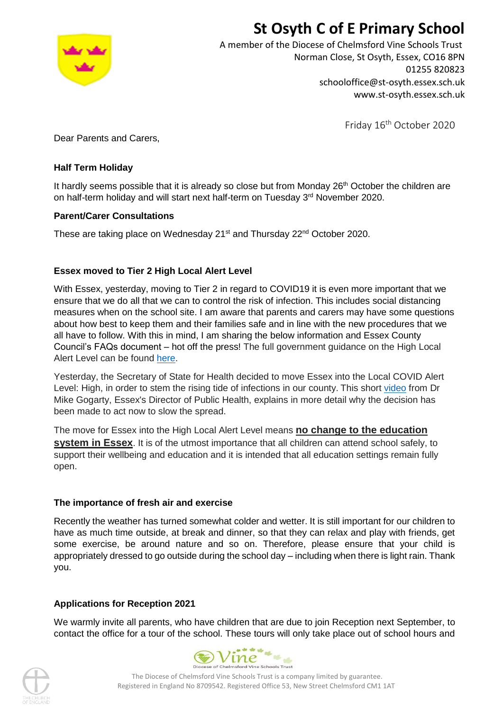# **St Osyth C of E Primary School**



A member of the Diocese of Chelmsford Vine Schools Trust Norman Close, St Osyth, Essex, CO16 8PN 01255 820823 schooloffice@st-osyth.essex.sch.uk www.st-osyth.essex.sch.uk

Friday 16<sup>th</sup> October 2020

Dear Parents and Carers,

## **Half Term Holiday**

It hardly seems possible that it is already so close but from Monday 26<sup>th</sup> October the children are on half-term holiday and will start next half-term on Tuesday 3<sup>rd</sup> November 2020.

## **Parent/Carer Consultations**

These are taking place on Wednesday 21<sup>st</sup> and Thursday 22<sup>nd</sup> October 2020.

## **Essex moved to Tier 2 High Local Alert Level**

With Essex, yesterday, moving to Tier 2 in regard to COVID19 it is even more important that we ensure that we do all that we can to control the risk of infection. This includes social distancing measures when on the school site. I am aware that parents and carers may have some questions about how best to keep them and their families safe and in line with the new procedures that we all have to follow. With this in mind, I am sharing the below information and Essex County Council's FAQs document – hot off the press! The full government guidance on the High Local Alert Level can be found [here.](https://eur02.safelinks.protection.outlook.com/?url=https%3A%2F%2Fwww.gov.uk%2Fguidance%2Flocal-covid-alert-level-high&data=02%7C01%7C%7C433160c70a2d41344d8508d8711cdd12%7Ca8b4324f155c4215a0f17ed8cc9a992f%7C0%7C0%7C637383716359728894&sdata=gVg1Mm6mLpcqPoJ%2Fh48xeOn8tSkHjSXx7nQeXxleOHQ%3D&reserved=0)

Yesterday, the Secretary of State for Health decided to move Essex into the Local COVID Alert Level: High, in order to stem the rising tide of infections in our county. This short [video](https://eur02.safelinks.protection.outlook.com/?url=https%3A%2F%2Ftwitter.com%2Fi%2Fstatus%2F1316063288942301187&data=02%7C01%7C%7C433160c70a2d41344d8508d8711cdd12%7Ca8b4324f155c4215a0f17ed8cc9a992f%7C0%7C0%7C637383716359718899&sdata=JMWNe4KAOjpXvDFy2sB8mCRE2iyaw6FoTR30wX1Fn3s%3D&reserved=0) from Dr Mike Gogarty, Essex's Director of Public Health, explains in more detail why the decision has been made to act now to slow the spread.

The move for Essex into the High Local Alert Level means **no change to the education system in Essex**. It is of the utmost importance that all children can attend school safely, to support their wellbeing and education and it is intended that all education settings remain fully open.

## **The importance of fresh air and exercise**

Recently the weather has turned somewhat colder and wetter. It is still important for our children to have as much time outside, at break and dinner, so that they can relax and play with friends, get some exercise, be around nature and so on. Therefore, please ensure that your child is appropriately dressed to go outside during the school day – including when there is light rain. Thank you.

## **Applications for Reception 2021**

We warmly invite all parents, who have children that are due to join Reception next September, to contact the office for a tour of the school. These tours will only take place out of school hours and